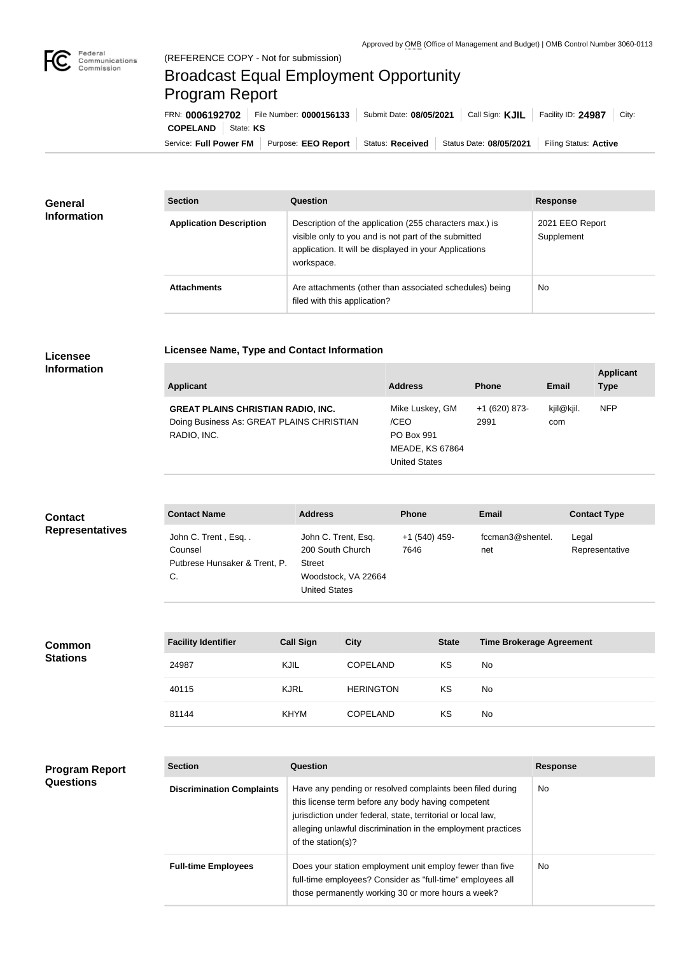×

## Broadcast Equal Employment Opportunity Program Report

**Licensee Name, Type and Contact Information**

| FRN: 0006192702             | File Number: 0000156133 | Submit Date: 08/05/2021 | Call Sign: <b>KJIL</b>                     | Facility ID: 24987<br>City: |
|-----------------------------|-------------------------|-------------------------|--------------------------------------------|-----------------------------|
| <b>COPELAND</b>   State: KS |                         |                         |                                            |                             |
| Service: Full Power FM      | Purpose: EEO Report     |                         | Status: Received   Status Date: 08/05/2021 | Filing Status: Active       |

| <b>General</b>     | <b>Section</b>                 | <b>Question</b>                                                                                                                                                                         | <b>Response</b>               |
|--------------------|--------------------------------|-----------------------------------------------------------------------------------------------------------------------------------------------------------------------------------------|-------------------------------|
| <b>Information</b> | <b>Application Description</b> | Description of the application (255 characters max.) is<br>visible only to you and is not part of the submitted<br>application. It will be displayed in your Applications<br>workspace. | 2021 EEO Report<br>Supplement |
|                    | <b>Attachments</b>             | Are attachments (other than associated schedules) being<br>filed with this application?                                                                                                 | <b>No</b>                     |

## **Licensee Information**

| Applicant                                                                                             | <b>Address</b>                                                                                 | <b>Phone</b>          | Email             | <b>Applicant</b><br><b>Type</b> |
|-------------------------------------------------------------------------------------------------------|------------------------------------------------------------------------------------------------|-----------------------|-------------------|---------------------------------|
| <b>GREAT PLAINS CHRISTIAN RADIO, INC.</b><br>Doing Business As: GREAT PLAINS CHRISTIAN<br>RADIO, INC. | Mike Luskey, GM<br>/CEO<br><b>PO Box 991</b><br><b>MEADE, KS 67864</b><br><b>United States</b> | +1 (620) 873-<br>2991 | kjil@kjil.<br>com | <b>NFP</b>                      |

| <b>Contact</b>         | <b>Contact Name</b>                                                  | <b>Address</b><br><b>Phone</b><br><b>Email</b><br><b>Contact Type</b><br>fccman3@shentel.<br>+1 (540) 459-<br>John C. Trent, Esq.<br>Legal<br>200 South Church<br>7646<br>Representative<br>net<br><b>Street</b><br>Woodstock, VA 22664<br><b>United States</b> |  |  |  |
|------------------------|----------------------------------------------------------------------|-----------------------------------------------------------------------------------------------------------------------------------------------------------------------------------------------------------------------------------------------------------------|--|--|--|
| <b>Representatives</b> | John C. Trent, Esq<br>Counsel<br>Putbrese Hunsaker & Trent, P.<br>C. |                                                                                                                                                                                                                                                                 |  |  |  |

| <b>Common</b>   | <b>Facility Identifier</b> | <b>Call Sign</b> | <b>City</b>      | <b>State</b> | <b>Time Brokerage Agreement</b> |
|-----------------|----------------------------|------------------|------------------|--------------|---------------------------------|
| <b>Stations</b> | 24987                      | <b>KJIL</b>      | <b>COPELAND</b>  | ΚS           | No                              |
|                 | 40115                      | <b>KJRL</b>      | <b>HERINGTON</b> | KS           | No                              |
|                 | 81144                      | <b>KHYM</b>      | <b>COPELAND</b>  | KS           | No                              |

## **Program Report Questions**

| <b>Section</b>                   | Question                                                                                                                                                                                                                                                              | <b>Response</b> |
|----------------------------------|-----------------------------------------------------------------------------------------------------------------------------------------------------------------------------------------------------------------------------------------------------------------------|-----------------|
| <b>Discrimination Complaints</b> | Have any pending or resolved complaints been filed during<br>this license term before any body having competent<br>jurisdiction under federal, state, territorial or local law,<br>alleging unlawful discrimination in the employment practices<br>of the station(s)? | No.             |
| <b>Full-time Employees</b>       | Does your station employment unit employ fewer than five<br>full-time employees? Consider as "full-time" employees all<br>those permanently working 30 or more hours a week?                                                                                          | No.             |